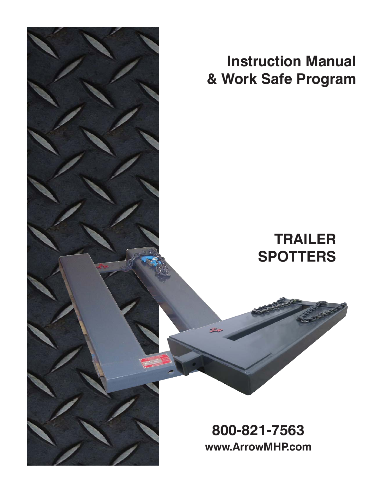

**Instruction Manual & Work Safe Program**

# **TRAILER SPOTTERS**

**800-821-7563 www.ArrowMHP.com**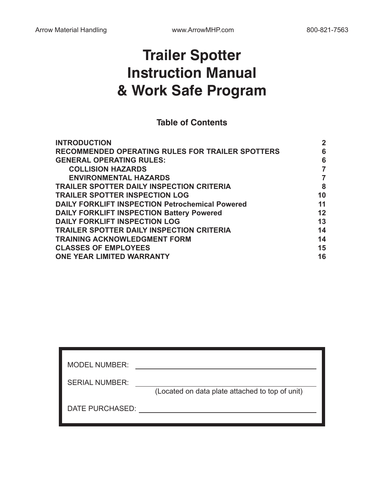## **Trailer Spotter Instruction Manual & Work Safe Program**

#### **Table of Contents**

| <b>INTRODUCTION</b>                                     | $\mathbf{2}$ |
|---------------------------------------------------------|--------------|
| <b>RECOMMENDED OPERATING RULES FOR TRAILER SPOTTERS</b> | 6            |
| <b>GENERAL OPERATING RULES:</b>                         | 6            |
| <b>COLLISION HAZARDS</b>                                |              |
| <b>ENVIRONMENTAL HAZARDS</b>                            |              |
| <b>TRAILER SPOTTER DAILY INSPECTION CRITERIA</b>        | 8            |
| <b>TRAILER SPOTTER INSPECTION LOG</b>                   | 10           |
| <b>DAILY FORKLIFT INSPECTION Petrochemical Powered</b>  | 11           |
| <b>DAILY FORKLIFT INSPECTION Battery Powered</b>        | 12           |
| <b>DAILY FORKLIFT INSPECTION LOG</b>                    | 13           |
| <b>TRAILER SPOTTER DAILY INSPECTION CRITERIA</b>        | 14           |
| <b>TRAINING ACKNOWLEDGMENT FORM</b>                     | 14           |
| <b>CLASSES OF EMPLOYEES</b>                             | 15           |
| <b>ONE YEAR LIMITED WARRANTY</b>                        | 16           |
|                                                         |              |

| <b>MODEL NUMBER:</b>  |                                                 |
|-----------------------|-------------------------------------------------|
| <b>SERIAL NUMBER:</b> |                                                 |
|                       | (Located on data plate attached to top of unit) |
|                       |                                                 |
| DATE PURCHASED:       |                                                 |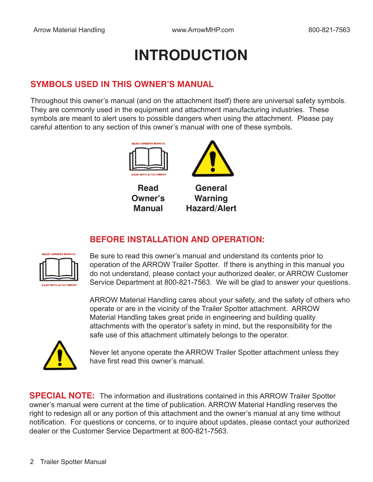# **INTRODUCTION**

#### **SYMBOLS USED IN THIS OWNER'S MANUAL**

Throughout this owner's manual (and on the attachment itself) there are universal safety symbols. They are commonly used in the equipment and attachment manufacturing industries. These symbols are meant to alert users to possible dangers when using the attachment. Please pay careful attention to any section of this owner's manual with one of these symbols.



**Owner's Manual**

### **Warning Hazard/Alert**

#### **BEFORE INSTALLATION AND OPERATION:**



Be sure to read this owner's manual and understand its contents prior to operation of the ARROW Trailer Spotter. If there is anything in this manual you do not understand, please contact your authorized dealer, or ARROW Customer Service Department at 800-821-7563. We will be glad to answer your questions.

ARROW Material Handling cares about your safety, and the safety of others who operate or are in the vicinity of the Trailer Spotter attachment. ARROW Material Handling takes great pride in engineering and building quality attachments with the operator's safety in mind, but the responsibility for the safe use of this attachment ultimately belongs to the operator.



Never let anyone operate the ARROW Trailer Spotter attachment unless they have first read this owner's manual.

**SPECIAL NOTE:** The information and illustrations contained in this ARROW Trailer Spotter owner's manual were current at the time of publication. ARROW Material Handling reserves the right to redesign all or any portion of this attachment and the owner's manual at any time without notification. For questions or concerns, or to inquire about updates, please contact your authorized dealer or the Customer Service Department at 800-821-7563.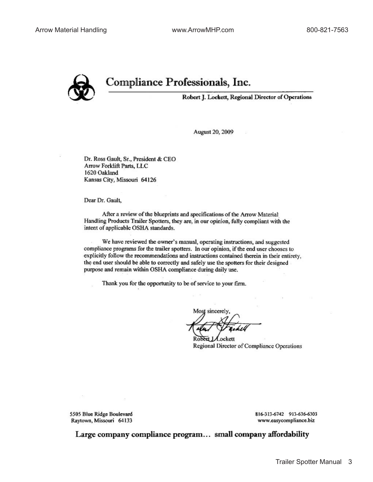

### Compliance Professionals, Inc.

Robert J. Lockett, Regional Director of Operations

August 20, 2009

Dr. Ross Gault, Sr., President & CEO Arrow Forklift Parts, LLC 1620 Oakland Kansas City, Missouri 64126

Dear Dr. Gault,

After a review of the blueprints and specifications of the Arrow Material Handling Products Trailer Spotters, they are, in our opinion, fully compliant with the intent of applicable OSHA standards.

We have reviewed the owner's manual, operating instructions, and suggested compliance programs for the trailer spotters. In our opinion, if the end user chooses to explicitly follow the recommendations and instructions contained therein in their entirety. the end user should be able to correctly and safely use the spotters for their designed purpose and remain within OSHA compliance during daily use.

Thank you for the opportunity to be of service to your firm.

Most sincerely,

Lockett Regional Director of Compliance Operations

5505 Blue Ridge Boulevard Raytown, Missouri 64133 816-313-6742 913-636-6303 www.easycompliance.biz

Large company compliance program... small company affordability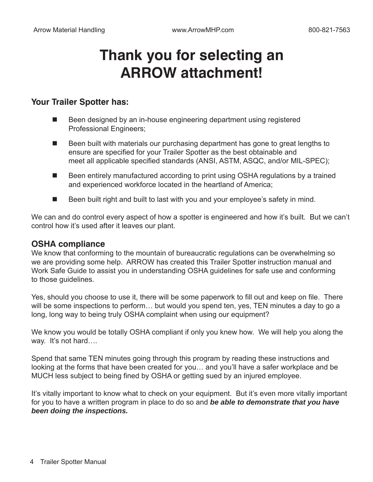## **Thank you for selecting an ARROW attachment!**

#### **Your Trailer Spotter has:**

- Been designed by an in-house engineering department using registered Professional Engineers;
- Been built with materials our purchasing department has gone to great lengths to ensure are specified for your Trailer Spotter as the best obtainable and meet all applicable specified standards (ANSI, ASTM, ASQC, and/or MIL-SPEC);
- Been entirely manufactured according to print using OSHA regulations by a trained and experienced workforce located in the heartland of America;
- Been built right and built to last with you and your employee's safety in mind.

We can and do control every aspect of how a spotter is engineered and how it's built. But we can't control how it's used after it leaves our plant.

#### **OSHA compliance**

We know that conforming to the mountain of bureaucratic regulations can be overwhelming so we are providing some help. ARROW has created this Trailer Spotter instruction manual and Work Safe Guide to assist you in understanding OSHA guidelines for safe use and conforming to those guidelines.

Yes, should you choose to use it, there will be some paperwork to fill out and keep on file. There will be some inspections to perform… but would you spend ten, yes, TEN minutes a day to go a long, long way to being truly OSHA complaint when using our equipment?

We know you would be totally OSHA compliant if only you knew how. We will help you along the way. It's not hard....

Spend that same TEN minutes going through this program by reading these instructions and looking at the forms that have been created for you… and you'll have a safer workplace and be MUCH less subject to being fined by OSHA or getting sued by an injured employee.

It's vitally important to know what to check on your equipment. But it's even more vitally important for you to have a written program in place to do so and *be able to demonstrate that you have been doing the inspections.*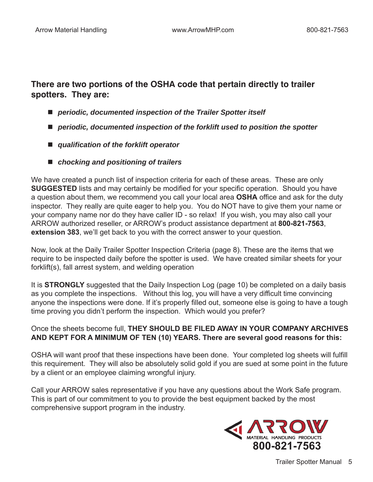#### **There are two portions of the OSHA code that pertain directly to trailer spotters. They are:**

- *periodic, documented inspection of the Trailer Spotter itself*
- *periodic, documented inspection of the forklift used to position the spotter*
- *qualification of the forklift operator*
- *chocking and positioning of trailers*

We have created a punch list of inspection criteria for each of these areas. These are only **SUGGESTED** lists and may certainly be modified for your specific operation. Should you have a question about them, we recommend you call your local area **OSHA** office and ask for the duty inspector. They really are quite eager to help you. You do NOT have to give them your name or your company name nor do they have caller ID - so relax! If you wish, you may also call your ARROW authorized reseller, or ARROW's product assistance department at **800-821-7563**, **extension 383**, we'll get back to you with the correct answer to your question.

Now, look at the Daily Trailer Spotter Inspection Criteria (page 8). These are the items that we require to be inspected daily before the spotter is used. We have created similar sheets for your forklift(s), fall arrest system, and welding operation

It is **STRONGLY** suggested that the Daily Inspection Log (page 10) be completed on a daily basis as you complete the inspections. Without this log, you will have a very difficult time convincing anyone the inspections were done. If it's properly filled out, someone else is going to have a tough time proving you didn't perform the inspection. Which would you prefer?

#### Once the sheets become full, **THEY SHOULD BE FILED AWAY IN YOUR COMPANY ARCHIVES AND KEPT FOR A MINIMUM OF TEN (10) YEARS. There are several good reasons for this:**

OSHA will want proof that these inspections have been done. Your completed log sheets will fulfill this requirement. They will also be absolutely solid gold if you are sued at some point in the future by a client or an employee claiming wrongful injury.

Call your ARROW sales representative if you have any questions about the Work Safe program. This is part of our commitment to you to provide the best equipment backed by the most comprehensive support program in the industry.

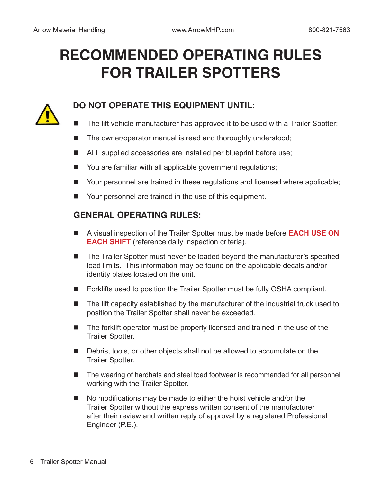# **RECOMMENDED OPERATING RULES FOR TRAILER SPOTTERS**



#### **DO NOT OPERATE THIS EQUIPMENT UNTIL:**

- The lift vehicle manufacturer has approved it to be used with a Trailer Spotter;
- The owner/operator manual is read and thoroughly understood;
- ALL supplied accessories are installed per blueprint before use;
- You are familiar with all applicable government regulations;
- Your personnel are trained in these regulations and licensed where applicable;
- Your personnel are trained in the use of this equipment.

#### **GENERAL OPERATING RULES:**

- A visual inspection of the Trailer Spotter must be made before **EACH USE ON EACH SHIFT** (reference daily inspection criteria).
- The Trailer Spotter must never be loaded beyond the manufacturer's specified load limits. This information may be found on the applicable decals and/or identity plates located on the unit.
- Forklifts used to position the Trailer Spotter must be fully OSHA compliant.
- The lift capacity established by the manufacturer of the industrial truck used to position the Trailer Spotter shall never be exceeded.
- The forklift operator must be properly licensed and trained in the use of the Trailer Spotter.
- Debris, tools, or other objects shall not be allowed to accumulate on the Trailer Spotter.
- The wearing of hardhats and steel toed footwear is recommended for all personnel working with the Trailer Spotter.
- No modifications may be made to either the hoist vehicle and/or the Trailer Spotter without the express written consent of the manufacturer after their review and written reply of approval by a registered Professional Engineer (P.E.).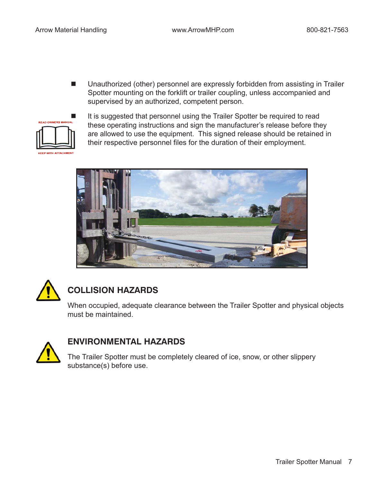■ Unauthorized (other) personnel are expressly forbidden from assisting in Trailer Spotter mounting on the forklift or trailer coupling, unless accompanied and supervised by an authorized, competent person.



 It is suggested that personnel using the Trailer Spotter be required to read these operating instructions and sign the manufacturer's release before they are allowed to use the equipment. This signed release should be retained in their respective personnel files for the duration of their employment.





### **COLLISION HAZARDS**

When occupied, adequate clearance between the Trailer Spotter and physical objects must be maintained.



#### **ENVIRONMENTAL HAZARDS**

The Trailer Spotter must be completely cleared of ice, snow, or other slippery substance(s) before use.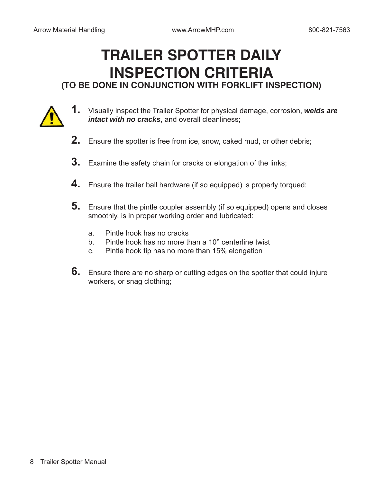### **TRAILER SPOTTER DAILY INSPECTION CRITERIA (TO BE DONE IN CONJUNCTION WITH FORKLIFT INSPECTION)**



- **1.** Visually inspect the Trailer Spotter for physical damage, corrosion, *welds are intact with no cracks*, and overall cleanliness;
- **2.** Ensure the spotter is free from ice, snow, caked mud, or other debris;
- **3.** Examine the safety chain for cracks or elongation of the links;
- **4.** Ensure the trailer ball hardware (if so equipped) is properly torqued;
- **5.** Ensure that the pintle coupler assembly (if so equipped) opens and closes smoothly, is in proper working order and lubricated:
	- a. Pintle hook has no cracks
	- b. Pintle hook has no more than a 10° centerline twist
	- c. Pintle hook tip has no more than 15% elongation
- **6.** Ensure there are no sharp or cutting edges on the spotter that could injure workers, or snag clothing;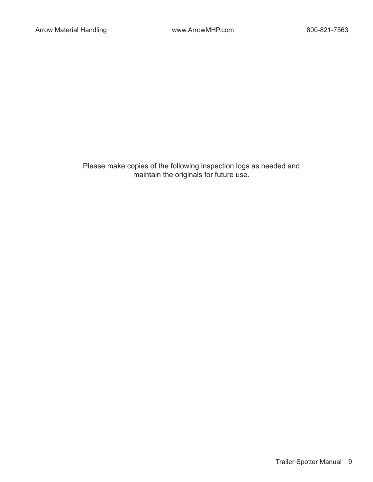Please make copies of the following inspection logs as needed and maintain the originals for future use.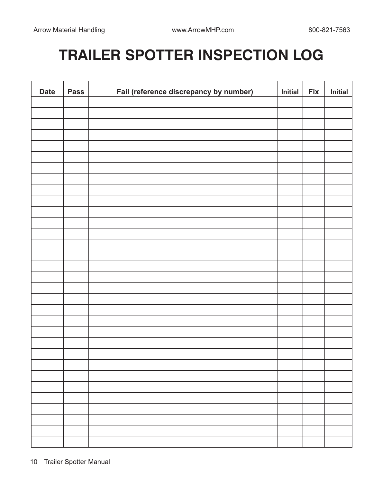# **TRAILER SPOTTER INSPECTION LOG**

| <b>Date</b> | <b>Pass</b> | Fail (reference discrepancy by number) | Initial | <b>Fix</b> | Initial |
|-------------|-------------|----------------------------------------|---------|------------|---------|
|             |             |                                        |         |            |         |
|             |             |                                        |         |            |         |
|             |             |                                        |         |            |         |
|             |             |                                        |         |            |         |
|             |             |                                        |         |            |         |
|             |             |                                        |         |            |         |
|             |             |                                        |         |            |         |
|             |             |                                        |         |            |         |
|             |             |                                        |         |            |         |
|             |             |                                        |         |            |         |
|             |             |                                        |         |            |         |
|             |             |                                        |         |            |         |
|             |             |                                        |         |            |         |
|             |             |                                        |         |            |         |
|             |             |                                        |         |            |         |
|             |             |                                        |         |            |         |
|             |             |                                        |         |            |         |
|             |             |                                        |         |            |         |
|             |             |                                        |         |            |         |
|             |             |                                        |         |            |         |
|             |             |                                        |         |            |         |
|             |             |                                        |         |            |         |
|             |             |                                        |         |            |         |
|             |             |                                        |         |            |         |
|             |             |                                        |         |            |         |
|             |             |                                        |         |            |         |
|             |             |                                        |         |            |         |
|             |             |                                        |         |            |         |
|             |             |                                        |         |            |         |
|             |             |                                        |         |            |         |
|             |             |                                        |         |            |         |
|             |             |                                        |         |            |         |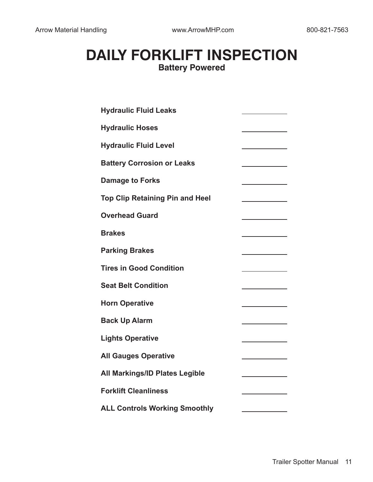### **DAILY FORKLIFT INSPECTION Battery Powered**

| <b>Hydraulic Fluid Leaks</b>           |  |
|----------------------------------------|--|
| <b>Hydraulic Hoses</b>                 |  |
| <b>Hydraulic Fluid Level</b>           |  |
| <b>Battery Corrosion or Leaks</b>      |  |
| <b>Damage to Forks</b>                 |  |
| <b>Top Clip Retaining Pin and Heel</b> |  |
| <b>Overhead Guard</b>                  |  |
| <b>Brakes</b>                          |  |
| <b>Parking Brakes</b>                  |  |
| <b>Tires in Good Condition</b>         |  |
| <b>Seat Belt Condition</b>             |  |
| <b>Horn Operative</b>                  |  |
| <b>Back Up Alarm</b>                   |  |
| <b>Lights Operative</b>                |  |
| <b>All Gauges Operative</b>            |  |
| <b>All Markings/ID Plates Legible</b>  |  |
| <b>Forklift Cleanliness</b>            |  |
| <b>ALL Controls Working Smoothly</b>   |  |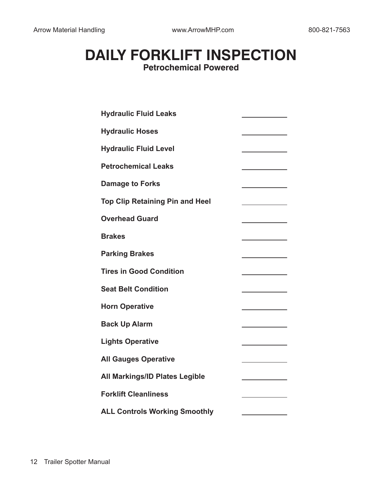### **DAILY FORKLIFT INSPECTION Petrochemical Powered**

| <b>Hydraulic Fluid Leaks</b>           |  |
|----------------------------------------|--|
| <b>Hydraulic Hoses</b>                 |  |
| <b>Hydraulic Fluid Level</b>           |  |
| <b>Petrochemical Leaks</b>             |  |
| <b>Damage to Forks</b>                 |  |
| <b>Top Clip Retaining Pin and Heel</b> |  |
| <b>Overhead Guard</b>                  |  |
| <b>Brakes</b>                          |  |
| <b>Parking Brakes</b>                  |  |
| <b>Tires in Good Condition</b>         |  |
| <b>Seat Belt Condition</b>             |  |
| <b>Horn Operative</b>                  |  |
| <b>Back Up Alarm</b>                   |  |
| <b>Lights Operative</b>                |  |
| <b>All Gauges Operative</b>            |  |
| <b>All Markings/ID Plates Legible</b>  |  |
| <b>Forklift Cleanliness</b>            |  |
| <b>ALL Controls Working Smoothly</b>   |  |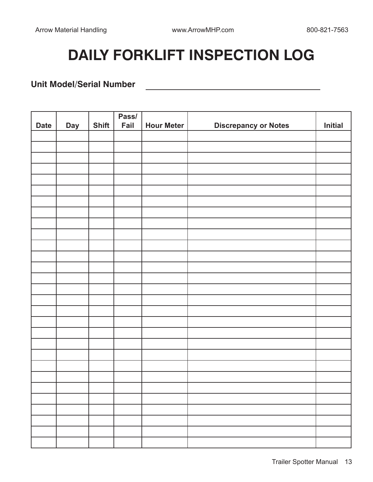<u> 1989 - Johann Barbara, martin a</u>

# **DAILY FORKLIFT INSPECTION LOG**

#### **Unit Model/Serial Number**

|             |            |              | Pass/ |                   |                             |         |
|-------------|------------|--------------|-------|-------------------|-----------------------------|---------|
| <b>Date</b> | <b>Day</b> | <b>Shift</b> | Fail  | <b>Hour Meter</b> | <b>Discrepancy or Notes</b> | Initial |
|             |            |              |       |                   |                             |         |
|             |            |              |       |                   |                             |         |
|             |            |              |       |                   |                             |         |
|             |            |              |       |                   |                             |         |
|             |            |              |       |                   |                             |         |
|             |            |              |       |                   |                             |         |
|             |            |              |       |                   |                             |         |
|             |            |              |       |                   |                             |         |
|             |            |              |       |                   |                             |         |
|             |            |              |       |                   |                             |         |
|             |            |              |       |                   |                             |         |
|             |            |              |       |                   |                             |         |
|             |            |              |       |                   |                             |         |
|             |            |              |       |                   |                             |         |
|             |            |              |       |                   |                             |         |
|             |            |              |       |                   |                             |         |
|             |            |              |       |                   |                             |         |
|             |            |              |       |                   |                             |         |
|             |            |              |       |                   |                             |         |
|             |            |              |       |                   |                             |         |
|             |            |              |       |                   |                             |         |
|             |            |              |       |                   |                             |         |
|             |            |              |       |                   |                             |         |
|             |            |              |       |                   |                             |         |
|             |            |              |       |                   |                             |         |
|             |            |              |       |                   |                             |         |
|             |            |              |       |                   |                             |         |
|             |            |              |       |                   |                             |         |
|             |            |              |       |                   |                             |         |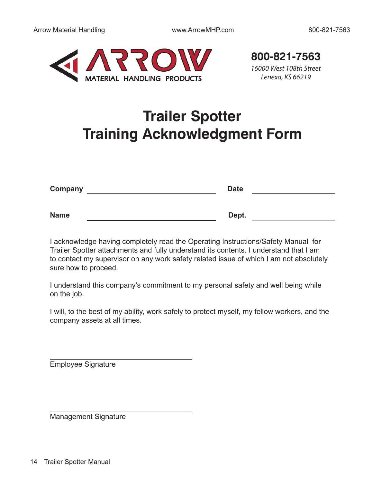

16000 West 108th Street **800-821-7563**

Lenexa, KS 66219

## **Trailer Spotter Training Acknowledgment Form**

| Company     | <b>Date</b> |
|-------------|-------------|
|             |             |
| <b>Name</b> | Dept.       |

I acknowledge having completely read the Operating Instructions/Safety Manual for Trailer Spotter attachments and fully understand its contents. I understand that I am to contact my supervisor on any work safety related issue of which I am not absolutely sure how to proceed.

I understand this company's commitment to my personal safety and well being while on the job.

I will, to the best of my ability, work safely to protect myself, my fellow workers, and the company assets at all times.

Employee Signature

Management Signature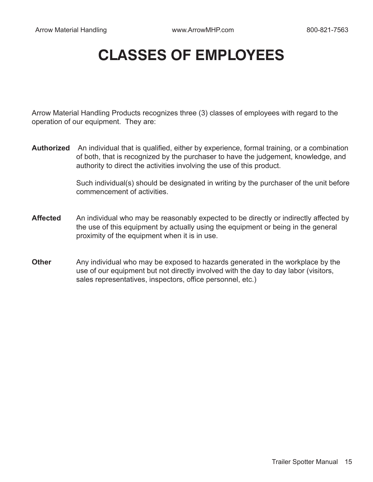## **CLASSES OF EMPLOYEES**

Arrow Material Handling Products recognizes three (3) classes of employees with regard to the operation of our equipment. They are:

**Authorized** An individual that is qualified, either by experience, formal training, or a combination of both, that is recognized by the purchaser to have the judgement, knowledge, and authority to direct the activities involving the use of this product.

> Such individual(s) should be designated in writing by the purchaser of the unit before commencement of activities.

- Affected An individual who may be reasonably expected to be directly or indirectly affected by the use of this equipment by actually using the equipment or being in the general proximity of the equipment when it is in use.
- **Other** Any individual who may be exposed to hazards generated in the workplace by the use of our equipment but not directly involved with the day to day labor (visitors, sales representatives, inspectors, office personnel, etc.)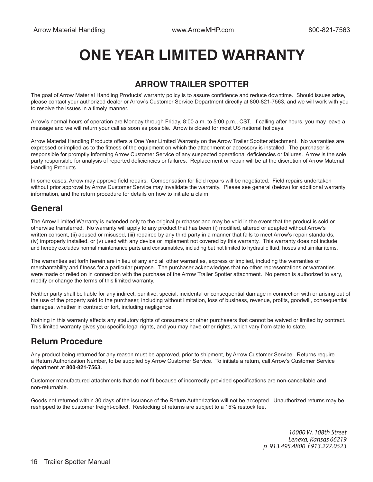## **ONE YEAR LIMITED WARRANTY**

#### **ARROW TRAILER SPOTTER**

The goal of Arrow Material Handling Products' warranty policy is to assure confidence and reduce downtime. Should issues arise, please contact your authorized dealer or Arrow's Customer Service Department directly at 800-821-7563, and we will work with you to resolve the issues in a timely manner.

Arrow's normal hours of operation are Monday through Friday, 8:00 a.m. to 5:00 p.m., CST. If calling after hours, you may leave a message and we will return your call as soon as possible. Arrow is closed for most US national holidays.

Arrow Material Handling Products offers a One Year Limited Warranty on the Arrow Trailer Spotter attachment. No warranties are expressed or implied as to the fitness of the equipment on which the attachment or accessory is installed. The purchaser is responsible for promptly informing Arrow Customer Service of any suspected operational deficiencies or failures. Arrow is the sole party responsible for analysis of reported deficiencies or failures. Replacement or repair will be at the discretion of Arrow Material Handling Products.

In some cases, Arrow may approve field repairs. Compensation for field repairs will be negotiated. Field repairs undertaken without prior approval by Arrow Customer Service may invalidate the warranty. Please see general (below) for additional warranty information, and the return procedure for details on how to initiate a claim.

#### **General**

The Arrow Limited Warranty is extended only to the original purchaser and may be void in the event that the product is sold or otherwise transferred. No warranty will apply to any product that has been (i) modified, altered or adapted without Arrow's written consent, (ii) abused or misused, (iii) repaired by any third party in a manner that fails to meet Arrow's repair standards, (iv) improperly installed, or (v) used with any device or implement not covered by this warranty. This warranty does not include and hereby excludes normal maintenance parts and consumables, including but not limited to hydraulic fluid, hoses and similar items.

The warranties set forth herein are in lieu of any and all other warranties, express or implied, including the warranties of merchantability and fitness for a particular purpose. The purchaser acknowledges that no other representations or warranties were made or relied on in connection with the purchase of the Arrow Trailer Spotter attachment. No person is authorized to vary, modify or change the terms of this limited warranty.

Neither party shall be liable for any indirect, punitive, special, incidental or consequential damage in connection with or arising out of the use of the property sold to the purchaser, including without limitation, loss of business, revenue, profits, goodwill, consequential damages, whether in contract or tort, including negligence.

Nothing in this warranty affects any statutory rights of consumers or other purchasers that cannot be waived or limited by contract. This limited warranty gives you specific legal rights, and you may have other rights, which vary from state to state.

#### **Return Procedure**

Any product being returned for any reason must be approved, prior to shipment, by Arrow Customer Service. Returns require a Return Authorization Number, to be supplied by Arrow Customer Service. To initiate a return, call Arrow's Customer Service department at **800-821-7563.**

Customer manufactured attachments that do not fit because of incorrectly provided specifications are non-cancellable and non-returnable.

Goods not returned within 30 days of the issuance of the Return Authorization will not be accepted. Unauthorized returns may be reshipped to the customer freight-collect. Restocking of returns are subject to a 15% restock fee.

> 16000 W. 108th Street Lenexa, Kansas 66219 p 913.495.4800 f 913.227.0523